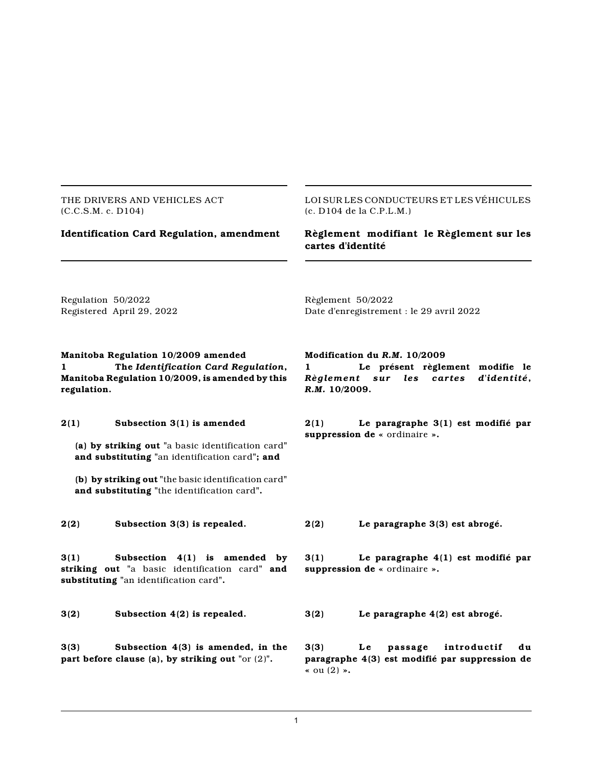THE DRIVERS AND VEHICLES ACT (C.C.S.M. c. D104)

LOI SUR LES CONDUCTEURS ET LES VÉHICULES (c. D104 de la C.P.L.M.)

# **Identification Card Regulation, amendment Règlement modifiant le Règlement sur les cartes d'identité**

Regulation 50/2022 Registered April 29, 2022 Règlement 50/2022 Date d'enregistrement : le 29 avril 2022

# **Manitoba Regulation 10/2009 amended 1 The** *Identification Card Regulation***, Manitoba Regulation 10/2009, is amended by this regulation.**

# **2(1) Subsection 3(1) is amended**

**(a) by striking out "**a basic identification card**" and substituting "**an identification card**"; and**

**(b) by striking out "**the basic identification card**" and substituting "**the identification card**".**

**3(1) Subsection 4(1) is amended by striking out "**a basic identification card**" and substituting "**an identification card**".**

**3(3) Subsection 4(3) is amended, in the part before clause (a), by striking out "**or (2)**".**

# **Modification du** *R.M.* **10/2009**

**1 Le présent règlement modifie le** *Règlement sur les cartes d'identité***,** *R.M.* **10/2009.**

**2(1) Le paragraphe 3(1) est modifié par suppression de «** ordinaire **».**

**2(2) Subsection 3(3) is repealed. 2(2) Le paragraphe 3(3) est abrogé.**

**3(1) Le paragraphe 4(1) est modifié par suppression de «** ordinaire **».**

**3(2) Subsection 4(2) is repealed. 3(2) Le paragraphe 4(2) est abrogé.**

**3(3) Le passage int roductif du paragraphe 4(3) est modifié par suppression de «** ou (2) **».**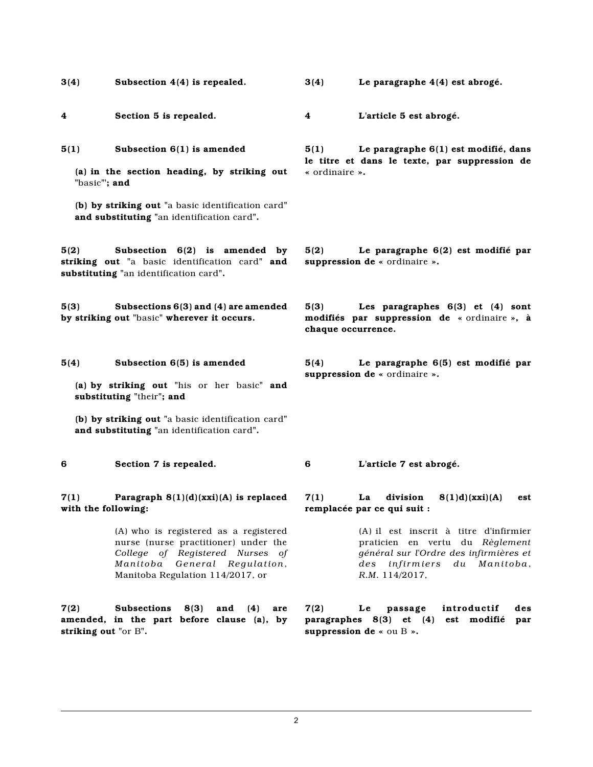**5(1) Subsection 6(1) is amended**

**(a) in the section heading, by striking out "**basic**"'; and**

**(b) by striking out "**a basic identification card**" and substituting "**an identification card**".**

**5(2) Subsection 6(2) is amended by striking out "**a basic identification card**" and substituting "**an identification card**".**

**5(3) Subsections 6(3) and (4) are amended by striking out "**basic**" wherever it occurs.**

### **5(4) Subsection 6(5) is amended**

**(a) by striking out "**his or her basic**" and substituting "**their**"; and**

**(b) by striking out "**a basic identification card**" and substituting "**an identification card**".**

## **7(1) Paragraph 8(1)(d)(xxi)(A) is replaced with the following:**

(A) who is registered as a registered nurse (nurse practitioner) under the *College of Registered Nurses of M anitoba General Regulation*, Manitoba Regulation 114/2017, or

**7(2) Subsections 8(3) and (4) are amended, in the part before clause (a), by striking out "**or B**".**

**3(4) Subsection 4(4) is repealed. 3(4) Le paragraphe 4(4) est abrogé.**

**4 Section 5 is repealed. 4 L'article 5 est abrogé.**

**5(1) Le paragraphe 6(1) est modifié, dans le titre et dans le texte, par suppression de «** ordinaire **».**

**5(2) Le paragraphe 6(2) est modifié par suppression de «** ordinaire **».**

**5(3) Les paragraphes 6(3) et (4) sont modifiés par suppression de «** ordinaire **», à chaque occurrence.**

**5(4) Le paragraphe 6(5) est modifié par suppression de «** ordinaire **».**

**6 Section 7 is repealed. 6 L'article 7 est abrogé.**

## **7(1) La division 8(1)d)(xxi)(A) est remplacée par ce qui suit :**

(A) il est inscrit à titre d'infirmier praticien en vertu du *Règlement général sur l'Ordre des infirmières et des infi rm ier s du M anitoba*, *R.M.* 114/2017,

**7(2) Le passage introductif des paragraphes 8(3) et (4) est modifié par suppression de «** ou B **».**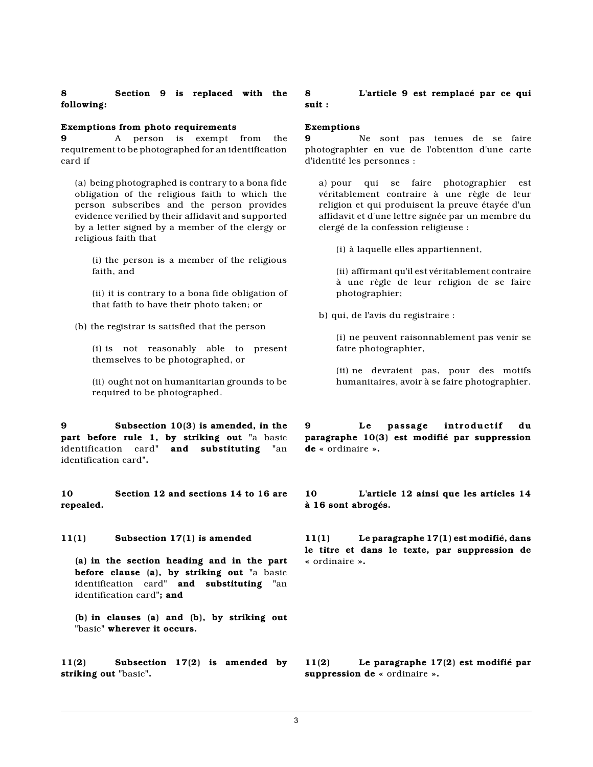## **Exemptions from photo requirements**

**9** A person is exempt from the requirement to be photographed for an identification card if

(a) being photographed is contrary to a bona fide obligation of the religious faith to which the person subscribes and the person provides evidence verified by their affidavit and supported by a letter signed by a member of the clergy or religious faith that

(i) the person is a member of the religious faith, and

(ii) it is contrary to a bona fide obligation of that faith to have their photo taken; or

(b) the registrar is satisfied that the person

(i) is not reasonably able to present themselves to be photographed, or

(ii) ought not on humanitarian grounds to be required to be photographed.

**9 Subsection 10(3) is amended, in the part before rule 1, by striking out "**a basic identification card**" and substituting "**an identification card**".**

**10 Section 12 and sections 14 to 16 are repealed.**

**11(1) Subsection 17(1) is amended**

**(a) in the section heading and in the part before clause (a), by striking out "**a basic identification card**" and substituting "**an identification card**"; and**

**(b) in clauses (a) and (b), by striking out "**basic**" wherever it occurs.**

**11(2) Subsection 17(2) is amended by striking out "**basic**".**

**8 L'article 9 est remplacé par ce qui suit :**

# **Exemptions**

**9** Ne sont pas tenues de se faire photographier en vue de l'obtention d'une carte d'identité les personnes :

a) pour qui se faire photographier est véritablement contraire à une règle de leur religion et qui produisent la preuve étayée d'un affidavit et d'une lettre signée par un membre du clergé de la confession religieuse :

(i) à laquelle elles appartiennent,

(ii) affirmant qu'il est véritablement contraire à une règle de leur religion de se faire photographier;

b) qui, de l'avis du registraire :

(i) ne peuvent raisonnablement pas venir se faire photographier,

(ii) ne devraient pas, pour des motifs humanitaires, avoir à se faire photographier.

**9 Le passage int roductif du paragraphe 10(3) est modifié par suppression de «** ordinaire **».**

**10 L'article 12 ainsi que les articles 14 à 16 sont abrogés.**

**11(1) Le paragraphe 17(1) est modifié, dans le titre et dans le texte, par suppression de «** ordinaire **».**

**11(2) Le paragraphe 17(2) est modifié par suppression de «** ordinaire **».**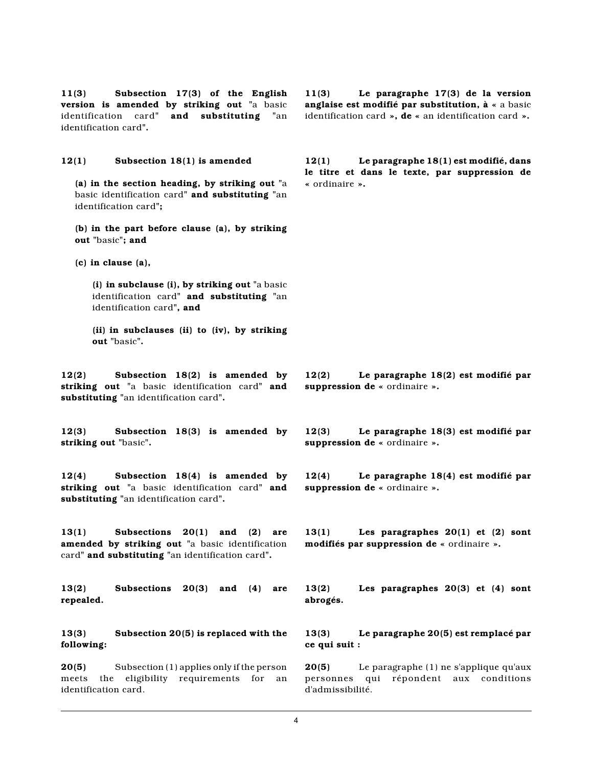**11(3) Subsection 17(3) of the English version is amended by striking out "**a basic identification card**" and substituting "**an identification card**".**

**12(1) Subsection 18(1) is amended**

**(a) in the section heading, by striking out "**a basic identification card**" and substituting "**an identification card**";**

**(b) in the part before clause (a), by striking out "**basic**"; and**

**(c) in clause (a),**

**(i) in subclause (i), by striking out "**a basic identification card**" and substituting "**an identification card**", and**

**(ii) in subclauses (ii) to (iv), by striking out "**basic**".**

**12(2) Subsection 18(2) is amended by striking out "**a basic identification card**" and substituting "**an identification card**".**

**12(3) Subsection 18(3) is amended by striking out "**basic**".**

**12(4) Subsection 18(4) is amended by striking out "**a basic identification card**" and substituting "**an identification card**".**

**13(1) Subsections 20(1) and (2) are amended by striking out "**a basic identification card**" and substituting "**an identification card**".**

**13(2) Subsections 20(3) and (4) are repealed.**

**13(3) Subsection 20(5) is replaced with the following:**

**20(5)** Subsection (1) applies only if the person meets the eligibility requirements for an identification card.

**11(3) Le paragraphe 17(3) de la version anglaise est modifié par substitution, à «** a basic identification card **», de «** an identification card **».**

**12(1) Le paragraphe 18(1) est modifié, dans le titre et dans le texte, par suppression de «** ordinaire **».**

**12(2) Le paragraphe 18(2) est modifié par suppression de «** ordinaire **».**

**12(3) Le paragraphe 18(3) est modifié par suppression de «** ordinaire **».**

**12(4) Le paragraphe 18(4) est modifié par suppression de «** ordinaire **».**

**13(1) Les paragraphes 20(1) et (2) sont modifiés par suppression de «** ordinaire **».**

**13(2) Les paragraphes 20(3) et (4) sont abrogés.**

**13(3) Le paragraphe 20(5) est remplacé par ce qui suit :**

**20(5)** Le paragraphe (1) ne s'applique qu'aux personnes qui répondent aux conditions d'admissibilité.